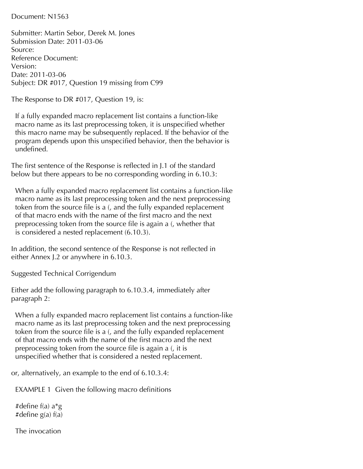Document: N1563

Submitter: Martin Sebor, Derek M. Jones Submission Date: 2011-03-06 Source: Reference Document: Version: Date: 2011-03-06 Subject: DR #017, Question 19 missing from C99

The Response to DR #017, Question 19, is:

 If a fully expanded macro replacement list contains a function-like macro name as its last preprocessing token, it is unspecified whether this macro name may be subsequently replaced. If the behavior of the program depends upon this unspecified behavior, then the behavior is undefined.

The first sentence of the Response is reflected in J.1 of the standard below but there appears to be no corresponding wording in 6.10.3:

 When a fully expanded macro replacement list contains a function-like macro name as its last preprocessing token and the next preprocessing token from the source file is a (, and the fully expanded replacement of that macro ends with the name of the first macro and the next preprocessing token from the source file is again a (, whether that is considered a nested replacement (6.10.3).

In addition, the second sentence of the Response is not reflected in either Annex J.2 or anywhere in 6.10.3.

Suggested Technical Corrigendum

Either add the following paragraph to 6.10.3.4, immediately after paragraph 2:

 When a fully expanded macro replacement list contains a function-like macro name as its last preprocessing token and the next preprocessing token from the source file is a (, and the fully expanded replacement of that macro ends with the name of the first macro and the next preprocessing token from the source file is again a (, it is unspecified whether that is considered a nested replacement.

or, alternatively, an example to the end of 6.10.3.4:

EXAMPLE 1 Given the following macro definitions

 #define f(a) a\*g #define g(a) f(a)

The invocation